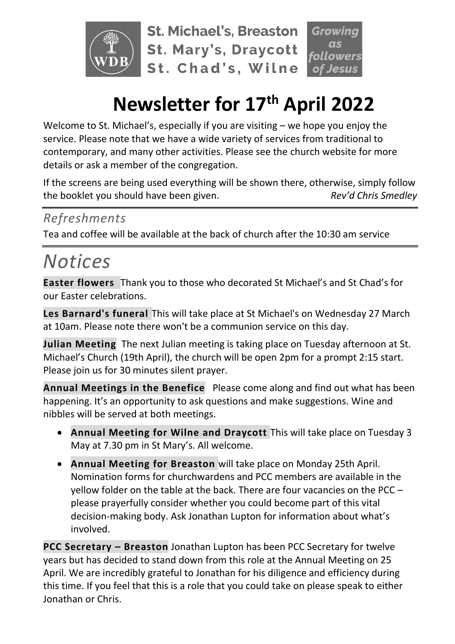

**St. Michael's, Breaston St. Mary's, Draycott** St. Chad's, Wilne



# **Newsletter for 17 th April 2022**

Welcome to St. Michael's, especially if you are visiting – we hope you enjoy the service. Please note that we have a wide variety of services from traditional to contemporary, and many other activities. Please see the church website for more details or ask a member of the congregation.

If the screens are being used everything will be shown there, otherwise, simply follow the booklet you should have been given. *Rev'd Chris Smedley*

#### *Refreshments*

Tea and coffee will be available at the back of church after the 10:30 am service

## *Notices*

**Easter flowers** Thank you to those who decorated St Michael's and St Chad's for our Easter celebrations.

**Les Barnard's funeral** This will take place at St Michael's on Wednesday 27 March at 10am. Please note there won't be a communion service on this day.

**Julian Meeting** The next Julian meeting is taking place on Tuesday afternoon at St. Michael's Church (19th April), the church will be open 2pm for a prompt 2:15 start. Please join us for 30 minutes silent prayer.

**Annual Meetings in the Benefice** Please come along and find out what has been happening. It's an opportunity to ask questions and make suggestions. Wine and nibbles will be served at both meetings.

- **Annual Meeting for Wilne and Draycott** This will take place on Tuesday 3 May at 7.30 pm in St Mary's. All welcome.
- **Annual Meeting for Breaston** will take place on Monday 25th April. Nomination forms for churchwardens and PCC members are available in the yellow folder on the table at the back. There are four vacancies on the PCC – please prayerfully consider whether you could become part of this vital decision-making body. Ask Jonathan Lupton for information about what's involved.

**PCC Secretary – Breaston** Jonathan Lupton has been PCC Secretary for twelve years but has decided to stand down from this role at the Annual Meeting on 25 April. We are incredibly grateful to Jonathan for his diligence and efficiency during this time. If you feel that this is a role that you could take on please speak to either Jonathan or Chris.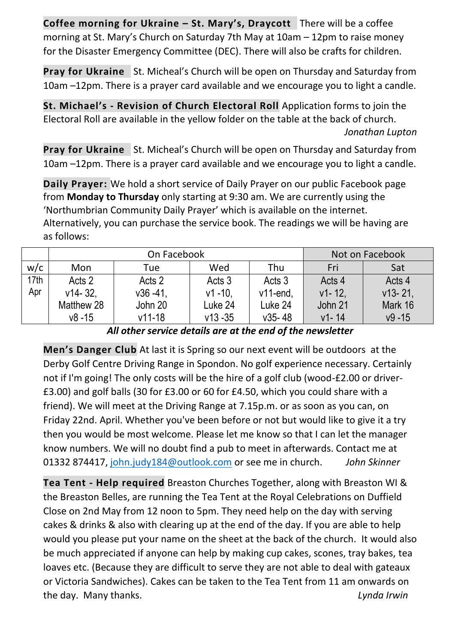**Coffee morning for Ukraine – St. Mary's, Draycott** There will be a coffee morning at St. Mary's Church on Saturday 7th May at 10am – 12pm to raise money for the Disaster Emergency Committee (DEC). There will also be crafts for children.

**Pray for Ukraine** St. Micheal's Church will be open on Thursday and Saturday from 10am –12pm. There is a prayer card available and we encourage you to light a candle.

**St. Michael's - Revision of Church Electoral Roll** Application forms to join the Electoral Roll are available in the yellow folder on the table at the back of church. *Jonathan Lupton*

**Pray for Ukraine** St. Micheal's Church will be open on Thursday and Saturday from 10am –12pm. There is a prayer card available and we encourage you to light a candle.

**Daily Prayer:** We hold a short service of Daily Prayer on our public Facebook page from **Monday to Thursday** only starting at 9:30 am. We are currently using the 'Northumbrian Community Daily Prayer' which is available on the internet. Alternatively, you can purchase the service book. The readings we will be having are as follows:

|      | On Facebook |              |             |             | Not on Facebook |            |
|------|-------------|--------------|-------------|-------------|-----------------|------------|
| w/c  | Mon         | Tue          | Wed         | Thu         | Fri             | Sat        |
| 17th | Acts 2      | Acts 2       | Acts 3      | Acts 3      | Acts 4          | Acts 4     |
| Apr  | $v14 - 32.$ | $v36 - 41$ , | $v1 - 10$ . | $v11$ -end, | $v1 - 12$       | $v13 - 21$ |
|      | Matthew 28  | John 20      | Luke 24     | Luke 24     | John 21         | Mark 16    |
|      | $v8 - 15$   | $v11 - 18$   | $v13 - 35$  | $v35 - 48$  | $v1 - 14$       | $v9 - 15$  |

*All other service details are at the end of the newsletter*

**Men's Danger Club** At last it is Spring so our next event will be outdoors at the Derby Golf Centre Driving Range in Spondon. No golf experience necessary. Certainly not if I'm going! The only costs will be the hire of a golf club (wood-£2.00 or driver- £3.00) and golf balls (30 for £3.00 or 60 for £4.50, which you could share with a friend). We will meet at the Driving Range at 7.15p.m. or as soon as you can, on Friday 22nd. April. Whether you've been before or not but would like to give it a try then you would be most welcome. Please let me know so that I can let the manager know numbers. We will no doubt find a pub to meet in afterwards. Contact me at 01332 874417, [john.judy184@outlook.com](mailto:john.judy184@outlook.com) or see me in church. *John Skinner*

**Tea Tent - Help required** Breaston Churches Together, along with Breaston WI & the Breaston Belles, are running the Tea Tent at the Royal Celebrations on Duffield Close on 2nd May from 12 noon to 5pm. They need help on the day with serving cakes & drinks & also with clearing up at the end of the day. If you are able to help would you please put your name on the sheet at the back of the church. It would also be much appreciated if anyone can help by making cup cakes, scones, tray bakes, tea loaves etc. (Because they are difficult to serve they are not able to deal with gateaux or Victoria Sandwiches). Cakes can be taken to the Tea Tent from 11 am onwards on the day. Many thanks. *Lynda Irwin*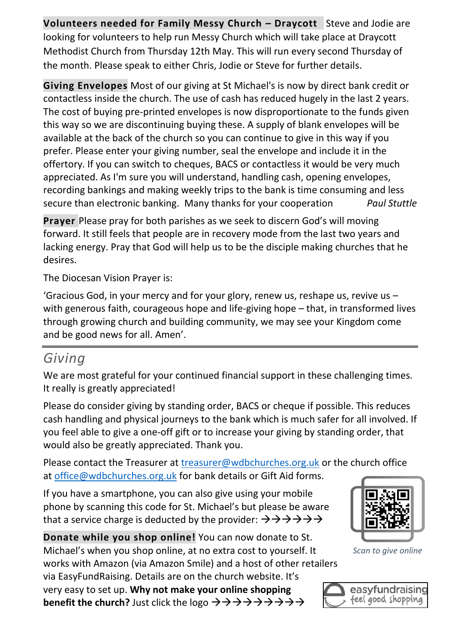**Volunteers needed for Family Messy Church – Draycott** Steve and Jodie are looking for volunteers to help run Messy Church which will take place at Draycott Methodist Church from Thursday 12th May. This will run every second Thursday of the month. Please speak to either Chris, Jodie or Steve for further details.

**Giving Envelopes** Most of our giving at St Michael's is now by direct bank credit or contactless inside the church. The use of cash has reduced hugely in the last 2 years. The cost of buying pre-printed envelopes is now disproportionate to the funds given this way so we are discontinuing buying these. A supply of blank envelopes will be available at the back of the church so you can continue to give in this way if you prefer. Please enter your giving number, seal the envelope and include it in the offertory. If you can switch to cheques, BACS or contactless it would be very much appreciated. As I'm sure you will understand, handling cash, opening envelopes, recording bankings and making weekly trips to the bank is time consuming and less secure than electronic banking. Many thanks for your cooperation *Paul Stuttle*

**Prayer** Please pray for both parishes as we seek to discern God's will moving forward. It still feels that people are in recovery mode from the last two years and lacking energy. Pray that God will help us to be the disciple making churches that he desires.

The Diocesan Vision Prayer is:

'Gracious God, in your mercy and for your glory, renew us, reshape us, revive us – with generous faith, courageous hope and life-giving hope – that, in transformed lives through growing church and building community, we may see your Kingdom come and be good news for all. Amen'.

### *Giving*

We are most grateful for your continued financial support in these challenging times. It really is greatly appreciated!

Please do consider giving by standing order, BACS or cheque if possible. This reduces cash handling and physical journeys to the bank which is much safer for all involved. If you feel able to give a one-off gift or to increase your giving by standing order, that would also be greatly appreciated. Thank you.

Please contact the Treasurer at [treasurer@wdbchurches.org.uk](mailto:treasurer@wdbchurches.org.uk) or the church office at [office@wdbchurches.org.uk](mailto:office@wdbchurches.org.uk) for bank details or Gift Aid forms.

If you have a smartphone, you can also give using your mobile phone by scanning this code for St. Michael's but please be aware that a service charge is deducted by the provider:  $\rightarrow \rightarrow \rightarrow \rightarrow \rightarrow \rightarrow$ 

**Donate while you shop online!** You can now donate to St. Michael's when you shop online, at no extra cost to yourself. It works with Amazon (via Amazon Smile) and a host of other retailers via EasyFundRaising. Details are on the [church website](http://www.stmichaelsbreaston.org.uk/index.php/113-news/236-giving-online). It's very easy to set up. **Why not make your online shopping benefit the church?** Just click the logo  $\rightarrow \rightarrow \rightarrow \rightarrow \rightarrow \rightarrow \rightarrow \rightarrow \rightarrow$ 



*Scan to give online*